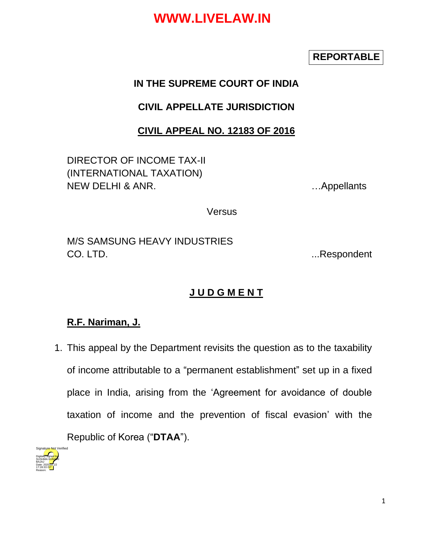### **REPORTABLE**

### **IN THE SUPREME COURT OF INDIA**

## **CIVIL APPELLATE JURISDICTION**

### **CIVIL APPEAL NO. 12183 OF 2016**

DIRECTOR OF INCOME TAX-II (INTERNATIONAL TAXATION) NEW DELHI & ANR. **EXECUTE:** NEW DELHI & ANR.

**Versus** 

M/S SAMSUNG HEAVY INDUSTRIES CO. LTD. **EXECUTE:** The contract of the contract of the contract of the contract of the contract of the contract of the contract of the contract of the contract of the contract of the contract of the contract of the contra

## **J U D G M E N T**

### **R.F. Nariman, J.**

1. This appeal by the Department revisits the question as to the taxability of income attributable to a "permanent establishment" set up in a fixed place in India, arising from the 'Agreement for avoidance of double taxation of income and the prevention of fiscal evasion' with the Republic of Korea ("**DTAA**").

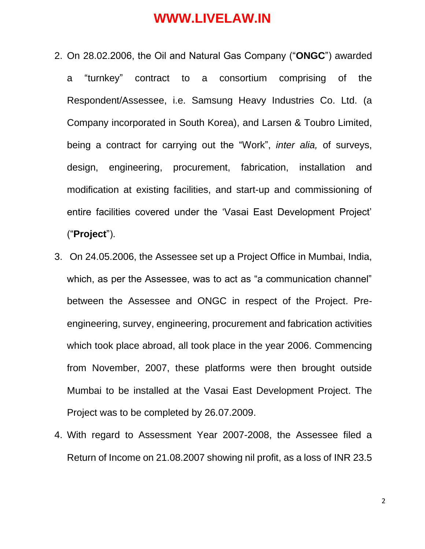- 2. On 28.02.2006, the Oil and Natural Gas Company ("**ONGC**") awarded a "turnkey" contract to a consortium comprising of the Respondent/Assessee, i.e. Samsung Heavy Industries Co. Ltd. (a Company incorporated in South Korea), and Larsen & Toubro Limited, being a contract for carrying out the "Work", *inter alia,* of surveys, design, engineering, procurement, fabrication, installation and modification at existing facilities, and start-up and commissioning of entire facilities covered under the 'Vasai East Development Project' ("**Project**").
- 3. On 24.05.2006, the Assessee set up a Project Office in Mumbai, India, which, as per the Assessee, was to act as "a communication channel" between the Assessee and ONGC in respect of the Project. Preengineering, survey, engineering, procurement and fabrication activities which took place abroad, all took place in the year 2006. Commencing from November, 2007, these platforms were then brought outside Mumbai to be installed at the Vasai East Development Project. The Project was to be completed by 26.07.2009.
- 4. With regard to Assessment Year 2007-2008, the Assessee filed a Return of Income on 21.08.2007 showing nil profit, as a loss of INR 23.5

2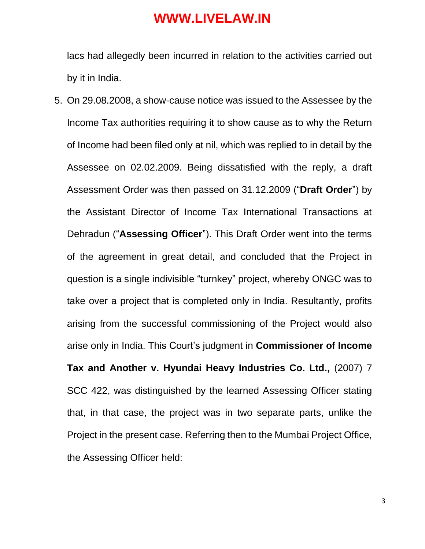lacs had allegedly been incurred in relation to the activities carried out by it in India.

5. On 29.08.2008, a show-cause notice was issued to the Assessee by the Income Tax authorities requiring it to show cause as to why the Return of Income had been filed only at nil, which was replied to in detail by the Assessee on 02.02.2009. Being dissatisfied with the reply, a draft Assessment Order was then passed on 31.12.2009 ("**Draft Order**") by the Assistant Director of Income Tax International Transactions at Dehradun ("**Assessing Officer**"). This Draft Order went into the terms of the agreement in great detail, and concluded that the Project in question is a single indivisible "turnkey" project, whereby ONGC was to take over a project that is completed only in India. Resultantly, profits arising from the successful commissioning of the Project would also arise only in India. This Court's judgment in **Commissioner of Income Tax and Another v. Hyundai Heavy Industries Co. Ltd.,** (2007) 7

SCC 422, was distinguished by the learned Assessing Officer stating that, in that case, the project was in two separate parts, unlike the Project in the present case. Referring then to the Mumbai Project Office, the Assessing Officer held: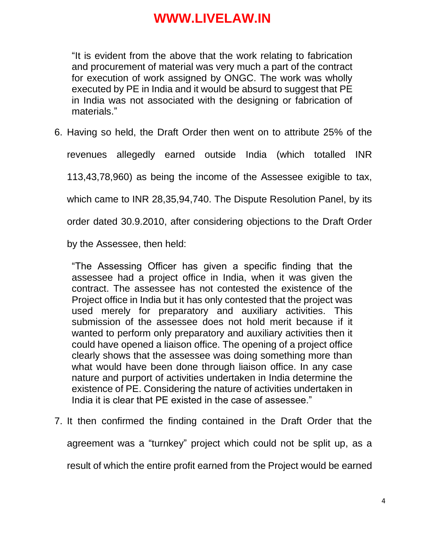"It is evident from the above that the work relating to fabrication and procurement of material was very much a part of the contract for execution of work assigned by ONGC. The work was wholly executed by PE in India and it would be absurd to suggest that PE in India was not associated with the designing or fabrication of materials."

6. Having so held, the Draft Order then went on to attribute 25% of the

revenues allegedly earned outside India (which totalled INR 113,43,78,960) as being the income of the Assessee exigible to tax, which came to INR 28,35,94,740. The Dispute Resolution Panel, by its order dated 30.9.2010, after considering objections to the Draft Order by the Assessee, then held:

"The Assessing Officer has given a specific finding that the assessee had a project office in India, when it was given the contract. The assessee has not contested the existence of the Project office in India but it has only contested that the project was used merely for preparatory and auxiliary activities. This submission of the assessee does not hold merit because if it wanted to perform only preparatory and auxiliary activities then it could have opened a liaison office. The opening of a project office clearly shows that the assessee was doing something more than what would have been done through liaison office. In any case nature and purport of activities undertaken in India determine the existence of PE. Considering the nature of activities undertaken in India it is clear that PE existed in the case of assessee."

7. It then confirmed the finding contained in the Draft Order that the agreement was a "turnkey" project which could not be split up, as a result of which the entire profit earned from the Project would be earned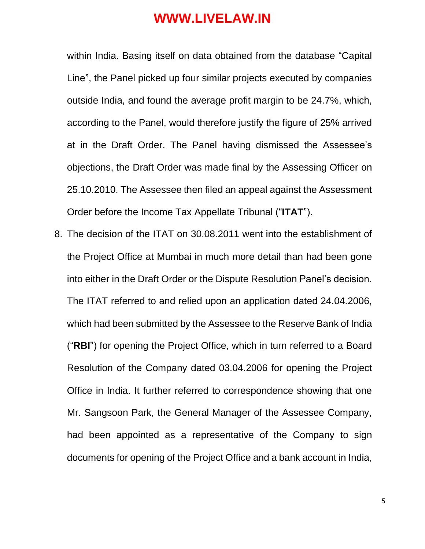within India. Basing itself on data obtained from the database "Capital Line", the Panel picked up four similar projects executed by companies outside India, and found the average profit margin to be 24.7%, which, according to the Panel, would therefore justify the figure of 25% arrived at in the Draft Order. The Panel having dismissed the Assessee's objections, the Draft Order was made final by the Assessing Officer on 25.10.2010. The Assessee then filed an appeal against the Assessment Order before the Income Tax Appellate Tribunal ("**ITAT**").

8. The decision of the ITAT on 30.08.2011 went into the establishment of the Project Office at Mumbai in much more detail than had been gone into either in the Draft Order or the Dispute Resolution Panel's decision. The ITAT referred to and relied upon an application dated 24.04.2006, which had been submitted by the Assessee to the Reserve Bank of India ("**RBI**") for opening the Project Office, which in turn referred to a Board Resolution of the Company dated 03.04.2006 for opening the Project Office in India. It further referred to correspondence showing that one Mr. Sangsoon Park, the General Manager of the Assessee Company, had been appointed as a representative of the Company to sign documents for opening of the Project Office and a bank account in India,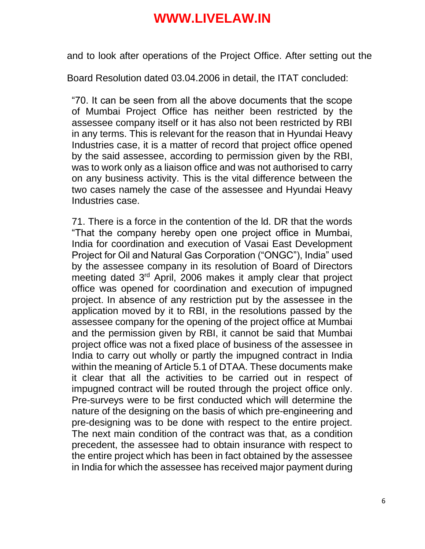and to look after operations of the Project Office. After setting out the

Board Resolution dated 03.04.2006 in detail, the ITAT concluded:

"70. It can be seen from all the above documents that the scope of Mumbai Project Office has neither been restricted by the assessee company itself or it has also not been restricted by RBI in any terms. This is relevant for the reason that in Hyundai Heavy Industries case, it is a matter of record that project office opened by the said assessee, according to permission given by the RBI, was to work only as a liaison office and was not authorised to carry on any business activity. This is the vital difference between the two cases namely the case of the assessee and Hyundai Heavy Industries case.

71. There is a force in the contention of the ld. DR that the words "That the company hereby open one project office in Mumbai, India for coordination and execution of Vasai East Development Project for Oil and Natural Gas Corporation ("ONGC"), India" used by the assessee company in its resolution of Board of Directors meeting dated 3<sup>rd</sup> April, 2006 makes it amply clear that project office was opened for coordination and execution of impugned project. In absence of any restriction put by the assessee in the application moved by it to RBI, in the resolutions passed by the assessee company for the opening of the project office at Mumbai and the permission given by RBI, it cannot be said that Mumbai project office was not a fixed place of business of the assessee in India to carry out wholly or partly the impugned contract in India within the meaning of Article 5.1 of DTAA. These documents make it clear that all the activities to be carried out in respect of impugned contract will be routed through the project office only. Pre-surveys were to be first conducted which will determine the nature of the designing on the basis of which pre-engineering and pre-designing was to be done with respect to the entire project. The next main condition of the contract was that, as a condition precedent, the assessee had to obtain insurance with respect to the entire project which has been in fact obtained by the assessee in India for which the assessee has received major payment during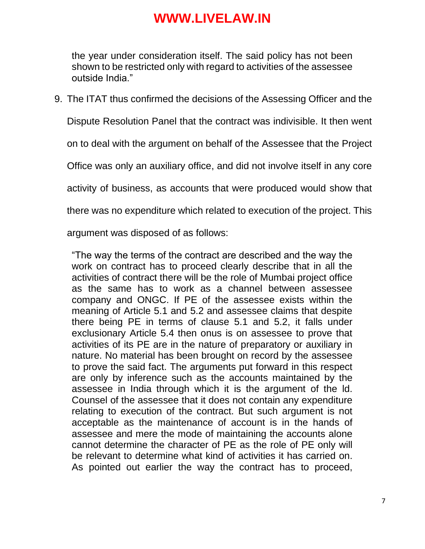the year under consideration itself. The said policy has not been shown to be restricted only with regard to activities of the assessee outside India."

9. The ITAT thus confirmed the decisions of the Assessing Officer and the Dispute Resolution Panel that the contract was indivisible. It then went on to deal with the argument on behalf of the Assessee that the Project

Office was only an auxiliary office, and did not involve itself in any core

activity of business, as accounts that were produced would show that

there was no expenditure which related to execution of the project. This

argument was disposed of as follows:

"The way the terms of the contract are described and the way the work on contract has to proceed clearly describe that in all the activities of contract there will be the role of Mumbai project office as the same has to work as a channel between assessee company and ONGC. If PE of the assessee exists within the meaning of Article 5.1 and 5.2 and assessee claims that despite there being PE in terms of clause 5.1 and 5.2, it falls under exclusionary Article 5.4 then onus is on assessee to prove that activities of its PE are in the nature of preparatory or auxiliary in nature. No material has been brought on record by the assessee to prove the said fact. The arguments put forward in this respect are only by inference such as the accounts maintained by the assessee in India through which it is the argument of the ld. Counsel of the assessee that it does not contain any expenditure relating to execution of the contract. But such argument is not acceptable as the maintenance of account is in the hands of assessee and mere the mode of maintaining the accounts alone cannot determine the character of PE as the role of PE only will be relevant to determine what kind of activities it has carried on. As pointed out earlier the way the contract has to proceed,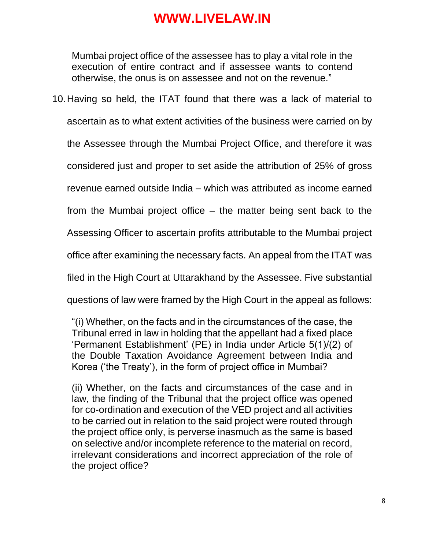Mumbai project office of the assessee has to play a vital role in the execution of entire contract and if assessee wants to contend otherwise, the onus is on assessee and not on the revenue."

10.Having so held, the ITAT found that there was a lack of material to ascertain as to what extent activities of the business were carried on by the Assessee through the Mumbai Project Office, and therefore it was considered just and proper to set aside the attribution of 25% of gross revenue earned outside India – which was attributed as income earned from the Mumbai project office – the matter being sent back to the Assessing Officer to ascertain profits attributable to the Mumbai project office after examining the necessary facts. An appeal from the ITAT was filed in the High Court at Uttarakhand by the Assessee. Five substantial questions of law were framed by the High Court in the appeal as follows:

"(i) Whether, on the facts and in the circumstances of the case, the Tribunal erred in law in holding that the appellant had a fixed place 'Permanent Establishment' (PE) in India under Article 5(1)/(2) of the Double Taxation Avoidance Agreement between India and Korea ('the Treaty'), in the form of project office in Mumbai?

(ii) Whether, on the facts and circumstances of the case and in law, the finding of the Tribunal that the project office was opened for co-ordination and execution of the VED project and all activities to be carried out in relation to the said project were routed through the project office only, is perverse inasmuch as the same is based on selective and/or incomplete reference to the material on record, irrelevant considerations and incorrect appreciation of the role of the project office?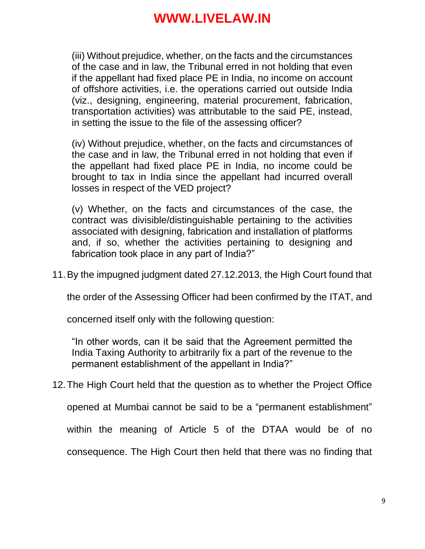(iii) Without prejudice, whether, on the facts and the circumstances of the case and in law, the Tribunal erred in not holding that even if the appellant had fixed place PE in India, no income on account of offshore activities, i.e. the operations carried out outside India (viz., designing, engineering, material procurement, fabrication, transportation activities) was attributable to the said PE, instead, in setting the issue to the file of the assessing officer?

(iv) Without prejudice, whether, on the facts and circumstances of the case and in law, the Tribunal erred in not holding that even if the appellant had fixed place PE in India, no income could be brought to tax in India since the appellant had incurred overall losses in respect of the VED project?

(v) Whether, on the facts and circumstances of the case, the contract was divisible/distinguishable pertaining to the activities associated with designing, fabrication and installation of platforms and, if so, whether the activities pertaining to designing and fabrication took place in any part of India?"

11.By the impugned judgment dated 27.12.2013, the High Court found that

the order of the Assessing Officer had been confirmed by the ITAT, and

concerned itself only with the following question:

"In other words, can it be said that the Agreement permitted the India Taxing Authority to arbitrarily fix a part of the revenue to the permanent establishment of the appellant in India?"

12.The High Court held that the question as to whether the Project Office

opened at Mumbai cannot be said to be a "permanent establishment"

within the meaning of Article 5 of the DTAA would be of no

consequence. The High Court then held that there was no finding that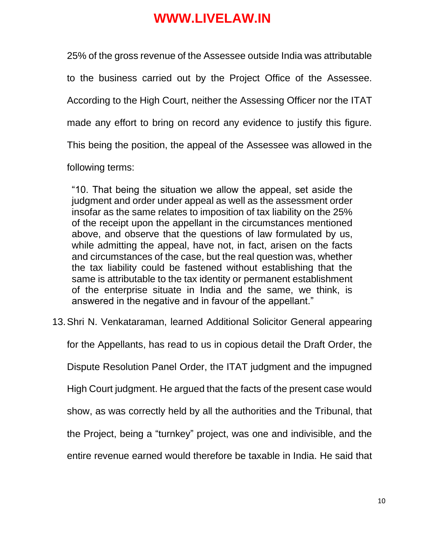25% of the gross revenue of the Assessee outside India was attributable to the business carried out by the Project Office of the Assessee. According to the High Court, neither the Assessing Officer nor the ITAT made any effort to bring on record any evidence to justify this figure. This being the position, the appeal of the Assessee was allowed in the following terms:

"10. That being the situation we allow the appeal, set aside the judgment and order under appeal as well as the assessment order insofar as the same relates to imposition of tax liability on the 25% of the receipt upon the appellant in the circumstances mentioned above, and observe that the questions of law formulated by us, while admitting the appeal, have not, in fact, arisen on the facts and circumstances of the case, but the real question was, whether the tax liability could be fastened without establishing that the same is attributable to the tax identity or permanent establishment of the enterprise situate in India and the same, we think, is answered in the negative and in favour of the appellant."

13.Shri N. Venkataraman, learned Additional Solicitor General appearing

for the Appellants, has read to us in copious detail the Draft Order, the Dispute Resolution Panel Order, the ITAT judgment and the impugned High Court judgment. He argued that the facts of the present case would show, as was correctly held by all the authorities and the Tribunal, that the Project, being a "turnkey" project, was one and indivisible, and the entire revenue earned would therefore be taxable in India. He said that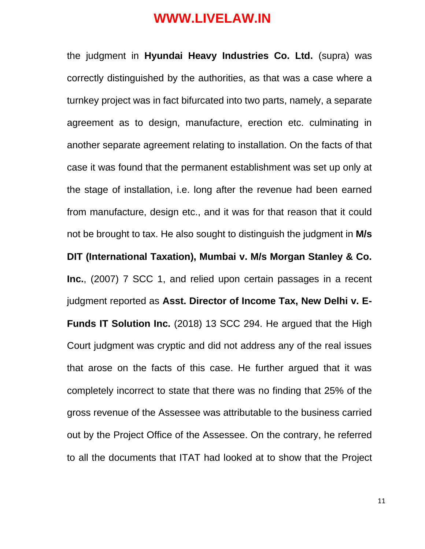the judgment in **Hyundai Heavy Industries Co. Ltd.** (supra) was correctly distinguished by the authorities, as that was a case where a turnkey project was in fact bifurcated into two parts, namely, a separate agreement as to design, manufacture, erection etc. culminating in another separate agreement relating to installation. On the facts of that case it was found that the permanent establishment was set up only at the stage of installation, i.e. long after the revenue had been earned from manufacture, design etc., and it was for that reason that it could not be brought to tax. He also sought to distinguish the judgment in **M/s DIT (International Taxation), Mumbai v. M/s Morgan Stanley & Co. Inc.**, (2007) 7 SCC 1, and relied upon certain passages in a recent judgment reported as **Asst. Director of Income Tax, New Delhi v. E-Funds IT Solution Inc.** (2018) 13 SCC 294. He argued that the High Court judgment was cryptic and did not address any of the real issues that arose on the facts of this case. He further argued that it was completely incorrect to state that there was no finding that 25% of the gross revenue of the Assessee was attributable to the business carried out by the Project Office of the Assessee. On the contrary, he referred to all the documents that ITAT had looked at to show that the Project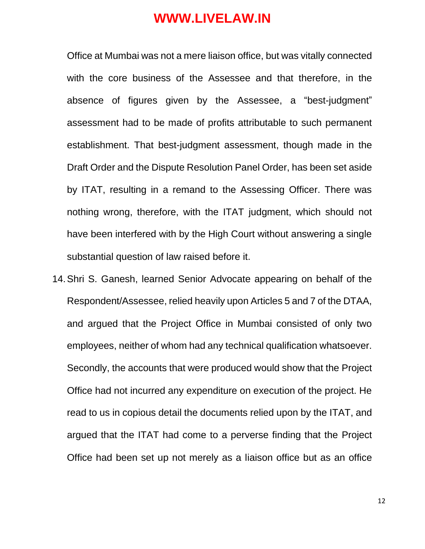Office at Mumbai was not a mere liaison office, but was vitally connected with the core business of the Assessee and that therefore, in the absence of figures given by the Assessee, a "best-judgment" assessment had to be made of profits attributable to such permanent establishment. That best-judgment assessment, though made in the Draft Order and the Dispute Resolution Panel Order, has been set aside by ITAT, resulting in a remand to the Assessing Officer. There was nothing wrong, therefore, with the ITAT judgment, which should not have been interfered with by the High Court without answering a single substantial question of law raised before it.

14.Shri S. Ganesh, learned Senior Advocate appearing on behalf of the Respondent/Assessee, relied heavily upon Articles 5 and 7 of the DTAA, and argued that the Project Office in Mumbai consisted of only two employees, neither of whom had any technical qualification whatsoever. Secondly, the accounts that were produced would show that the Project Office had not incurred any expenditure on execution of the project. He read to us in copious detail the documents relied upon by the ITAT, and argued that the ITAT had come to a perverse finding that the Project Office had been set up not merely as a liaison office but as an office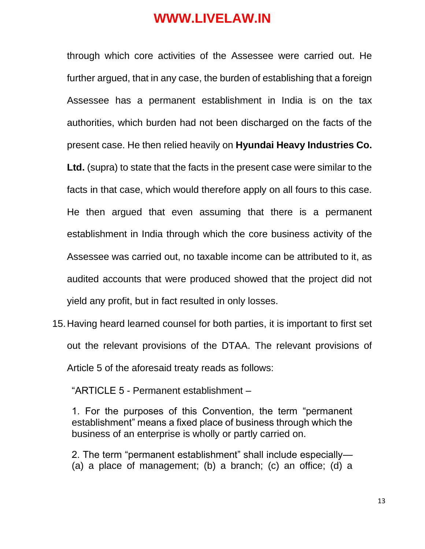through which core activities of the Assessee were carried out. He further argued, that in any case, the burden of establishing that a foreign Assessee has a permanent establishment in India is on the tax authorities, which burden had not been discharged on the facts of the present case. He then relied heavily on **Hyundai Heavy Industries Co. Ltd.** (supra) to state that the facts in the present case were similar to the facts in that case, which would therefore apply on all fours to this case. He then argued that even assuming that there is a permanent establishment in India through which the core business activity of the Assessee was carried out, no taxable income can be attributed to it, as audited accounts that were produced showed that the project did not yield any profit, but in fact resulted in only losses.

15.Having heard learned counsel for both parties, it is important to first set out the relevant provisions of the DTAA. The relevant provisions of Article 5 of the aforesaid treaty reads as follows:

"ARTICLE 5 - Permanent establishment –

1. For the purposes of this Convention, the term "permanent establishment" means a fixed place of business through which the business of an enterprise is wholly or partly carried on.

2. The term "permanent establishment" shall include especially— (a) a place of management; (b) a branch; (c) an office; (d) a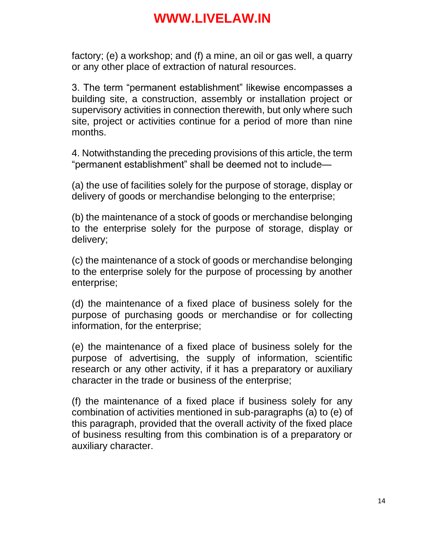factory; (e) a workshop; and (f) a mine, an oil or gas well, a quarry or any other place of extraction of natural resources.

3. The term "permanent establishment" likewise encompasses a building site, a construction, assembly or installation project or supervisory activities in connection therewith, but only where such site, project or activities continue for a period of more than nine months.

4. Notwithstanding the preceding provisions of this article, the term "permanent establishment" shall be deemed not to include—

(a) the use of facilities solely for the purpose of storage, display or delivery of goods or merchandise belonging to the enterprise;

(b) the maintenance of a stock of goods or merchandise belonging to the enterprise solely for the purpose of storage, display or delivery;

(c) the maintenance of a stock of goods or merchandise belonging to the enterprise solely for the purpose of processing by another enterprise;

(d) the maintenance of a fixed place of business solely for the purpose of purchasing goods or merchandise or for collecting information, for the enterprise;

(e) the maintenance of a fixed place of business solely for the purpose of advertising, the supply of information, scientific research or any other activity, if it has a preparatory or auxiliary character in the trade or business of the enterprise;

(f) the maintenance of a fixed place if business solely for any combination of activities mentioned in sub-paragraphs (a) to (e) of this paragraph, provided that the overall activity of the fixed place of business resulting from this combination is of a preparatory or auxiliary character.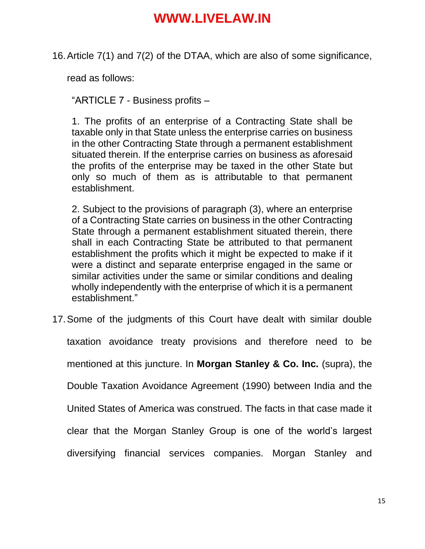16.Article 7(1) and 7(2) of the DTAA, which are also of some significance,

read as follows:

"ARTICLE 7 - Business profits –

1. The profits of an enterprise of a Contracting State shall be taxable only in that State unless the enterprise carries on business in the other Contracting State through a permanent establishment situated therein. If the enterprise carries on business as aforesaid the profits of the enterprise may be taxed in the other State but only so much of them as is attributable to that permanent establishment.

2. Subject to the provisions of paragraph (3), where an enterprise of a Contracting State carries on business in the other Contracting State through a permanent establishment situated therein, there shall in each Contracting State be attributed to that permanent establishment the profits which it might be expected to make if it were a distinct and separate enterprise engaged in the same or similar activities under the same or similar conditions and dealing wholly independently with the enterprise of which it is a permanent establishment."

17.Some of the judgments of this Court have dealt with similar double taxation avoidance treaty provisions and therefore need to be mentioned at this juncture. In **Morgan Stanley & Co. Inc.** (supra), the Double Taxation Avoidance Agreement (1990) between India and the United States of America was construed. The facts in that case made it clear that the Morgan Stanley Group is one of the world's largest diversifying financial services companies. Morgan Stanley and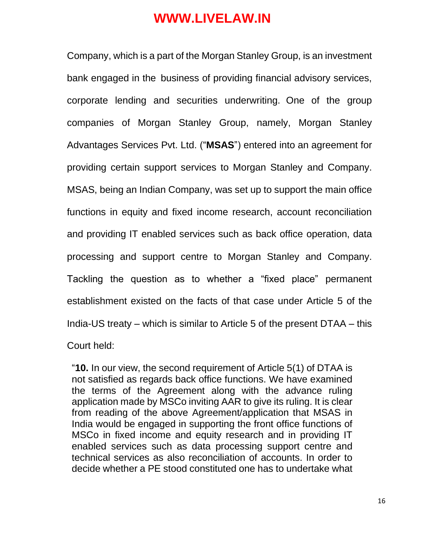Company, which is a part of the Morgan Stanley Group, is an investment bank engaged in the business of providing financial advisory services, corporate lending and securities underwriting. One of the group companies of Morgan Stanley Group, namely, Morgan Stanley Advantages Services Pvt. Ltd. ("**MSAS**") entered into an agreement for providing certain support services to Morgan Stanley and Company. MSAS, being an Indian Company, was set up to support the main office functions in equity and fixed income research, account reconciliation and providing IT enabled services such as back office operation, data processing and support centre to Morgan Stanley and Company. Tackling the question as to whether a "fixed place" permanent establishment existed on the facts of that case under Article 5 of the India-US treaty – which is similar to Article 5 of the present DTAA – this Court held:

"**10.** In our view, the second requirement of Article 5(1) of DTAA is not satisfied as regards back office functions. We have examined the terms of the Agreement along with the advance ruling application made by MSCo inviting AAR to give its ruling. It is clear from reading of the above Agreement/application that MSAS in India would be engaged in supporting the front office functions of MSCo in fixed income and equity research and in providing IT enabled services such as data processing support centre and technical services as also reconciliation of accounts. In order to decide whether a PE stood constituted one has to undertake what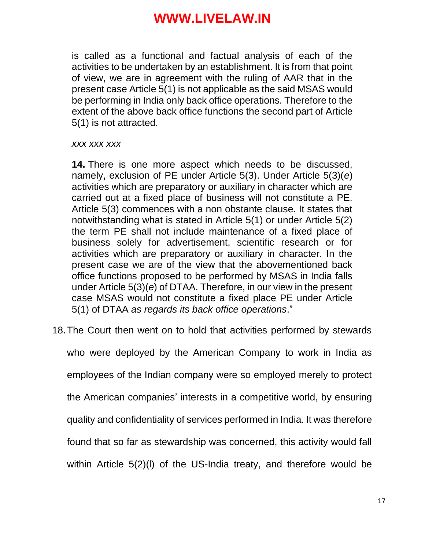is called as a functional and factual analysis of each of the activities to be undertaken by an establishment. It is from that point of view, we are in agreement with the ruling of AAR that in the present case Article 5(1) is not applicable as the said MSAS would be performing in India only back office operations. Therefore to the extent of the above back office functions the second part of Article 5(1) is not attracted.

#### *xxx xxx xxx*

**14.** There is one more aspect which needs to be discussed, namely, exclusion of PE under Article 5(3). Under Article 5(3)(*e*) activities which are preparatory or auxiliary in character which are carried out at a fixed place of business will not constitute a PE. Article 5(3) commences with a non obstante clause. It states that notwithstanding what is stated in Article 5(1) or under Article 5(2) the term PE shall not include maintenance of a fixed place of business solely for advertisement, scientific research or for activities which are preparatory or auxiliary in character. In the present case we are of the view that the abovementioned back office functions proposed to be performed by MSAS in India falls under Article 5(3)(*e*) of DTAA. Therefore, in our view in the present case MSAS would not constitute a fixed place PE under Article 5(1) of DTAA *as regards its back office operations*."

18.The Court then went on to hold that activities performed by stewards

who were deployed by the American Company to work in India as employees of the Indian company were so employed merely to protect the American companies' interests in a competitive world, by ensuring quality and confidentiality of services performed in India. It was therefore found that so far as stewardship was concerned, this activity would fall within Article 5(2)(l) of the US-India treaty, and therefore would be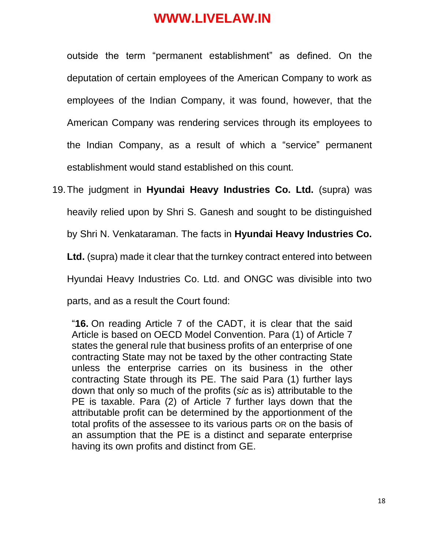outside the term "permanent establishment" as defined. On the deputation of certain employees of the American Company to work as employees of the Indian Company, it was found, however, that the American Company was rendering services through its employees to the Indian Company, as a result of which a "service" permanent establishment would stand established on this count.

19.The judgment in **Hyundai Heavy Industries Co. Ltd.** (supra) was heavily relied upon by Shri S. Ganesh and sought to be distinguished by Shri N. Venkataraman. The facts in **Hyundai Heavy Industries Co. Ltd.** (supra) made it clear that the turnkey contract entered into between Hyundai Heavy Industries Co. Ltd. and ONGC was divisible into two parts, and as a result the Court found:

"**16.** On reading Article 7 of the CADT, it is clear that the said Article is based on OECD Model Convention. Para (1) of Article 7 states the general rule that business profits of an enterprise of one contracting State may not be taxed by the other contracting State unless the enterprise carries on its business in the other contracting State through its PE. The said Para (1) further lays down that only so much of the profits (*sic* as is) attributable to the PE is taxable. Para (2) of Article 7 further lays down that the attributable profit can be determined by the apportionment of the total profits of the assessee to its various parts OR on the basis of an assumption that the PE is a distinct and separate enterprise having its own profits and distinct from GE.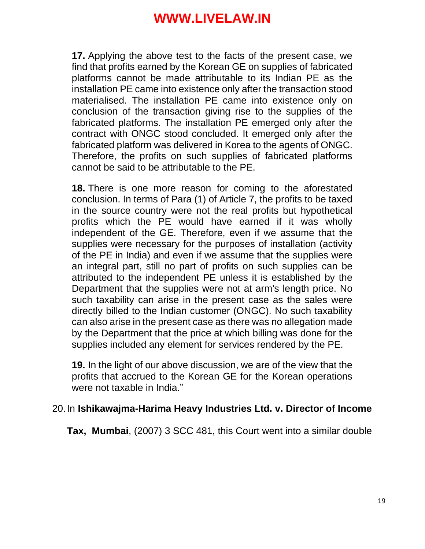**17.** Applying the above test to the facts of the present case, we find that profits earned by the Korean GE on supplies of fabricated platforms cannot be made attributable to its Indian PE as the installation PE came into existence only after the transaction stood materialised. The installation PE came into existence only on conclusion of the transaction giving rise to the supplies of the fabricated platforms. The installation PE emerged only after the contract with ONGC stood concluded. It emerged only after the fabricated platform was delivered in Korea to the agents of ONGC. Therefore, the profits on such supplies of fabricated platforms cannot be said to be attributable to the PE.

**18.** There is one more reason for coming to the aforestated conclusion. In terms of Para (1) of Article 7, the profits to be taxed in the source country were not the real profits but hypothetical profits which the PE would have earned if it was wholly independent of the GE. Therefore, even if we assume that the supplies were necessary for the purposes of installation (activity of the PE in India) and even if we assume that the supplies were an integral part, still no part of profits on such supplies can be attributed to the independent PE unless it is established by the Department that the supplies were not at arm's length price. No such taxability can arise in the present case as the sales were directly billed to the Indian customer (ONGC). No such taxability can also arise in the present case as there was no allegation made by the Department that the price at which billing was done for the supplies included any element for services rendered by the PE.

**19.** In the light of our above discussion, we are of the view that the profits that accrued to the Korean GE for the Korean operations were not taxable in India."

#### 20.In **Ishikawajma-Harima Heavy Industries Ltd. v. Director of Income**

**Tax, Mumbai**, (2007) 3 SCC 481, this Court went into a similar double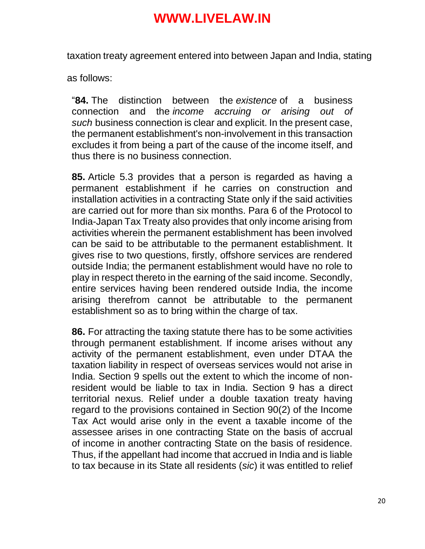taxation treaty agreement entered into between Japan and India, stating

as follows:

"**84.** The distinction between the *existence* of a business connection and the *income accruing or arising out of such* business connection is clear and explicit. In the present case, the permanent establishment's non-involvement in this transaction excludes it from being a part of the cause of the income itself, and thus there is no business connection.

**85.** Article 5.3 provides that a person is regarded as having a permanent establishment if he carries on construction and installation activities in a contracting State only if the said activities are carried out for more than six months. Para 6 of the Protocol to India-Japan Tax Treaty also provides that only income arising from activities wherein the permanent establishment has been involved can be said to be attributable to the permanent establishment. It gives rise to two questions, firstly, offshore services are rendered outside India; the permanent establishment would have no role to play in respect thereto in the earning of the said income. Secondly, entire services having been rendered outside India, the income arising therefrom cannot be attributable to the permanent establishment so as to bring within the charge of tax.

**86.** For attracting the taxing statute there has to be some activities through permanent establishment. If income arises without any activity of the permanent establishment, even under DTAA the taxation liability in respect of overseas services would not arise in India. Section 9 spells out the extent to which the income of nonresident would be liable to tax in India. Section 9 has a direct territorial nexus. Relief under a double taxation treaty having regard to the provisions contained in Section 90(2) of the Income Tax Act would arise only in the event a taxable income of the assessee arises in one contracting State on the basis of accrual of income in another contracting State on the basis of residence. Thus, if the appellant had income that accrued in India and is liable to tax because in its State all residents (*sic*) it was entitled to relief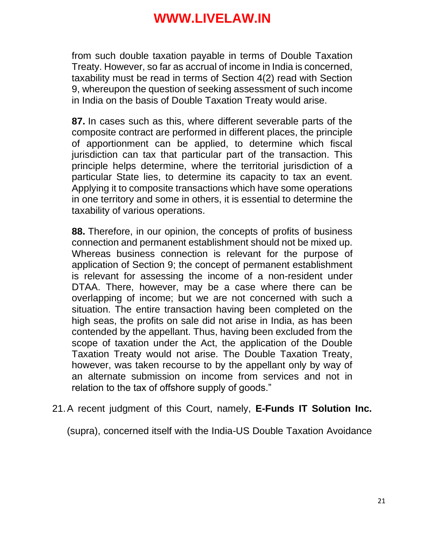from such double taxation payable in terms of Double Taxation Treaty. However, so far as accrual of income in India is concerned, taxability must be read in terms of Section 4(2) read with Section 9, whereupon the question of seeking assessment of such income in India on the basis of Double Taxation Treaty would arise.

**87.** In cases such as this, where different severable parts of the composite contract are performed in different places, the principle of apportionment can be applied, to determine which fiscal jurisdiction can tax that particular part of the transaction. This principle helps determine, where the territorial jurisdiction of a particular State lies, to determine its capacity to tax an event. Applying it to composite transactions which have some operations in one territory and some in others, it is essential to determine the taxability of various operations.

**88.** Therefore, in our opinion, the concepts of profits of business connection and permanent establishment should not be mixed up. Whereas business connection is relevant for the purpose of application of Section 9; the concept of permanent establishment is relevant for assessing the income of a non-resident under DTAA. There, however, may be a case where there can be overlapping of income; but we are not concerned with such a situation. The entire transaction having been completed on the high seas, the profits on sale did not arise in India, as has been contended by the appellant. Thus, having been excluded from the scope of taxation under the Act, the application of the Double Taxation Treaty would not arise. The Double Taxation Treaty, however, was taken recourse to by the appellant only by way of an alternate submission on income from services and not in relation to the tax of offshore supply of goods."

21.A recent judgment of this Court, namely, **E-Funds IT Solution Inc.**

(supra), concerned itself with the India-US Double Taxation Avoidance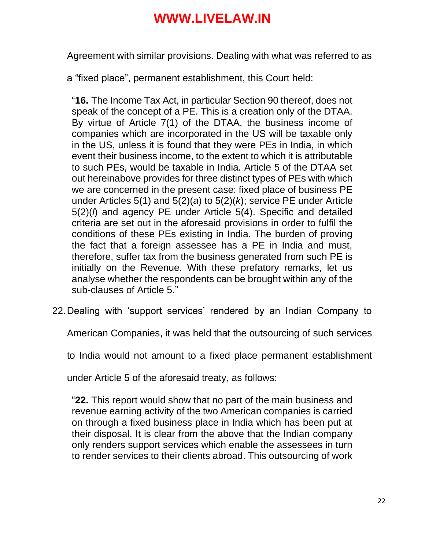Agreement with similar provisions. Dealing with what was referred to as

a "fixed place", permanent establishment, this Court held:

"**16.** The Income Tax Act, in particular Section 90 thereof, does not speak of the concept of a PE. This is a creation only of the DTAA. By virtue of Article 7(1) of the DTAA, the business income of companies which are incorporated in the US will be taxable only in the US, unless it is found that they were PEs in India, in which event their business income, to the extent to which it is attributable to such PEs, would be taxable in India. Article 5 of the DTAA set out hereinabove provides for three distinct types of PEs with which we are concerned in the present case: fixed place of business PE under Articles 5(1) and 5(2)(*a*) to 5(2)(*k*); service PE under Article 5(2)(*l*) and agency PE under Article 5(4). Specific and detailed criteria are set out in the aforesaid provisions in order to fulfil the conditions of these PEs existing in India. The burden of proving the fact that a foreign assessee has a PE in India and must, therefore, suffer tax from the business generated from such PE is initially on the Revenue. With these prefatory remarks, let us analyse whether the respondents can be brought within any of the sub-clauses of Article 5."

22.Dealing with 'support services' rendered by an Indian Company to

American Companies, it was held that the outsourcing of such services

to India would not amount to a fixed place permanent establishment

under Article 5 of the aforesaid treaty, as follows:

"**22.** This report would show that no part of the main business and revenue earning activity of the two American companies is carried on through a fixed business place in India which has been put at their disposal. It is clear from the above that the Indian company only renders support services which enable the assessees in turn to render services to their clients abroad. This outsourcing of work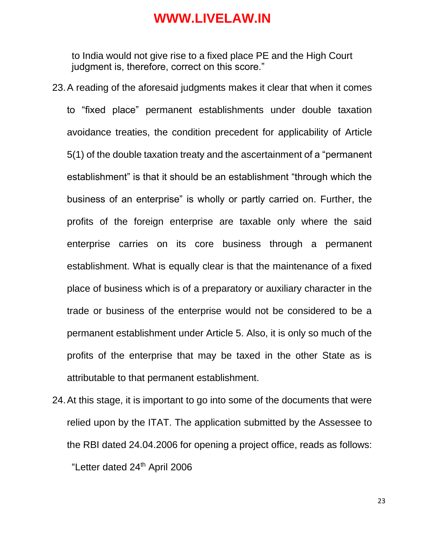to India would not give rise to a fixed place PE and the High Court judgment is, therefore, correct on this score."

- 23.A reading of the aforesaid judgments makes it clear that when it comes to "fixed place" permanent establishments under double taxation avoidance treaties, the condition precedent for applicability of Article 5(1) of the double taxation treaty and the ascertainment of a "permanent establishment" is that it should be an establishment "through which the business of an enterprise" is wholly or partly carried on. Further, the profits of the foreign enterprise are taxable only where the said enterprise carries on its core business through a permanent establishment. What is equally clear is that the maintenance of a fixed place of business which is of a preparatory or auxiliary character in the trade or business of the enterprise would not be considered to be a permanent establishment under Article 5. Also, it is only so much of the profits of the enterprise that may be taxed in the other State as is attributable to that permanent establishment.
- 24.At this stage, it is important to go into some of the documents that were relied upon by the ITAT. The application submitted by the Assessee to the RBI dated 24.04.2006 for opening a project office, reads as follows: "Letter dated 24th April 2006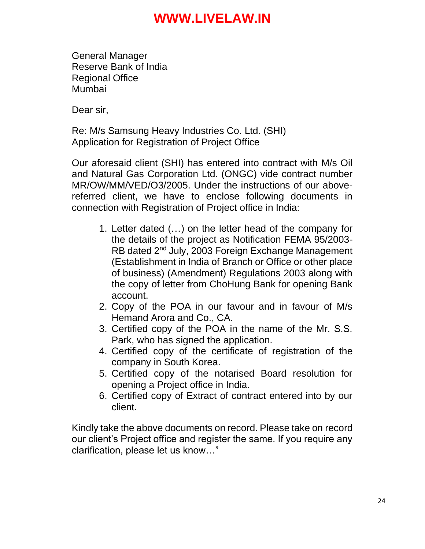General Manager Reserve Bank of India Regional Office Mumbai

Dear sir,

Re: M/s Samsung Heavy Industries Co. Ltd. (SHI) Application for Registration of Project Office

Our aforesaid client (SHI) has entered into contract with M/s Oil and Natural Gas Corporation Ltd. (ONGC) vide contract number MR/OW/MM/VED/O3/2005. Under the instructions of our abovereferred client, we have to enclose following documents in connection with Registration of Project office in India:

- 1. Letter dated (…) on the letter head of the company for the details of the project as Notification FEMA 95/2003- RB dated 2nd July, 2003 Foreign Exchange Management (Establishment in India of Branch or Office or other place of business) (Amendment) Regulations 2003 along with the copy of letter from ChoHung Bank for opening Bank account.
- 2. Copy of the POA in our favour and in favour of M/s Hemand Arora and Co., CA.
- 3. Certified copy of the POA in the name of the Mr. S.S. Park, who has signed the application.
- 4. Certified copy of the certificate of registration of the company in South Korea.
- 5. Certified copy of the notarised Board resolution for opening a Project office in India.
- 6. Certified copy of Extract of contract entered into by our client.

Kindly take the above documents on record. Please take on record our client's Project office and register the same. If you require any clarification, please let us know…"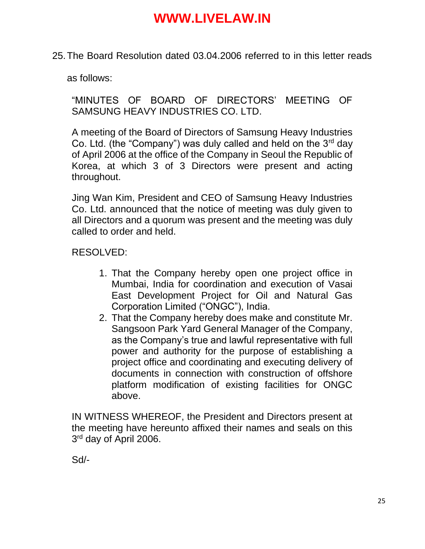25.The Board Resolution dated 03.04.2006 referred to in this letter reads

as follows:

"MINUTES OF BOARD OF DIRECTORS' MEETING OF SAMSUNG HEAVY INDUSTRIES CO. LTD.

A meeting of the Board of Directors of Samsung Heavy Industries Co. Ltd. (the "Company") was duly called and held on the  $3<sup>rd</sup>$  day of April 2006 at the office of the Company in Seoul the Republic of Korea, at which 3 of 3 Directors were present and acting throughout.

Jing Wan Kim, President and CEO of Samsung Heavy Industries Co. Ltd. announced that the notice of meeting was duly given to all Directors and a quorum was present and the meeting was duly called to order and held.

#### RESOLVED:

- 1. That the Company hereby open one project office in Mumbai, India for coordination and execution of Vasai East Development Project for Oil and Natural Gas Corporation Limited ("ONGC"), India.
- 2. That the Company hereby does make and constitute Mr. Sangsoon Park Yard General Manager of the Company, as the Company's true and lawful representative with full power and authority for the purpose of establishing a project office and coordinating and executing delivery of documents in connection with construction of offshore platform modification of existing facilities for ONGC above.

IN WITNESS WHEREOF, the President and Directors present at the meeting have hereunto affixed their names and seals on this 3<sup>rd</sup> day of April 2006.

Sd/-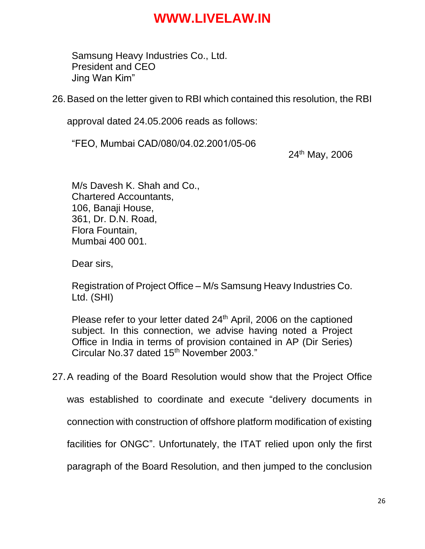Samsung Heavy Industries Co., Ltd. President and CEO Jing Wan Kim"

26.Based on the letter given to RBI which contained this resolution, the RBI

approval dated 24.05.2006 reads as follows:

"FEO, Mumbai CAD/080/04.02.2001/05-06

24th May, 2006

M/s Davesh K. Shah and Co., Chartered Accountants, 106, Banaji House, 361, Dr. D.N. Road, Flora Fountain, Mumbai 400 001.

Dear sirs,

Registration of Project Office – M/s Samsung Heavy Industries Co. Ltd. (SHI)

Please refer to your letter dated 24<sup>th</sup> April, 2006 on the captioned subject. In this connection, we advise having noted a Project Office in India in terms of provision contained in AP (Dir Series) Circular No.37 dated 15<sup>th</sup> November 2003."

27.A reading of the Board Resolution would show that the Project Office

was established to coordinate and execute "delivery documents in

connection with construction of offshore platform modification of existing

facilities for ONGC". Unfortunately, the ITAT relied upon only the first

paragraph of the Board Resolution, and then jumped to the conclusion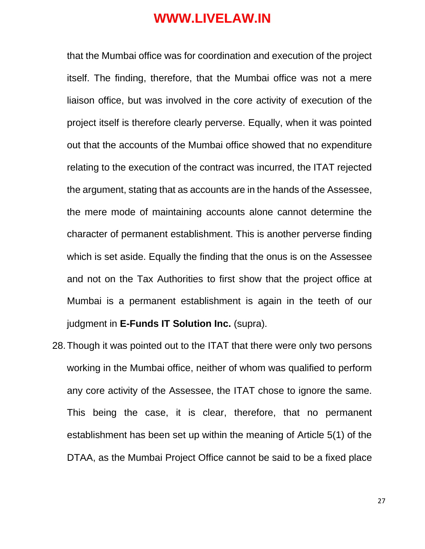that the Mumbai office was for coordination and execution of the project itself. The finding, therefore, that the Mumbai office was not a mere liaison office, but was involved in the core activity of execution of the project itself is therefore clearly perverse. Equally, when it was pointed out that the accounts of the Mumbai office showed that no expenditure relating to the execution of the contract was incurred, the ITAT rejected the argument, stating that as accounts are in the hands of the Assessee, the mere mode of maintaining accounts alone cannot determine the character of permanent establishment. This is another perverse finding which is set aside. Equally the finding that the onus is on the Assessee and not on the Tax Authorities to first show that the project office at Mumbai is a permanent establishment is again in the teeth of our judgment in **E-Funds IT Solution Inc.** (supra).

28.Though it was pointed out to the ITAT that there were only two persons working in the Mumbai office, neither of whom was qualified to perform any core activity of the Assessee, the ITAT chose to ignore the same. This being the case, it is clear, therefore, that no permanent establishment has been set up within the meaning of Article 5(1) of the DTAA, as the Mumbai Project Office cannot be said to be a fixed place